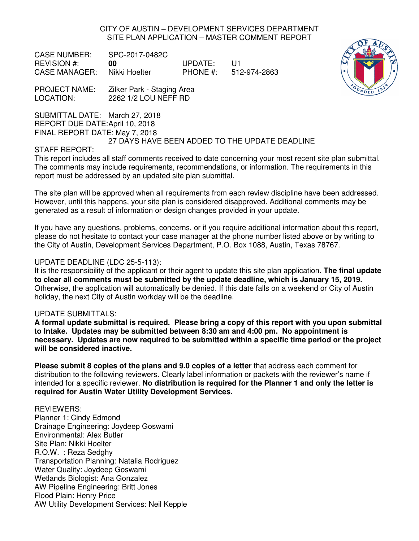CITY OF AUSTIN – DEVELOPMENT SERVICES DEPARTMENT SITE PLAN APPLICATION – MASTER COMMENT REPORT

CASE NUMBER: SPC-2017-0482C REVISION #: **00** UPDATE: U1 CASE MANAGER: Nikki Hoelter PHONE #: 512-974-2863



PROJECT NAME: Zilker Park - Staging Area LOCATION: 2262 1/2 LOU NEFF RD

SUBMITTAL DATE: March 27, 2018 REPORT DUE DATE: April 10, 2018

FINAL REPORT DATE: May 7, 2018

## 27 DAYS HAVE BEEN ADDED TO THE UPDATE DEADLINE

## STAFF REPORT:

This report includes all staff comments received to date concerning your most recent site plan submittal. The comments may include requirements, recommendations, or information. The requirements in this report must be addressed by an updated site plan submittal.

The site plan will be approved when all requirements from each review discipline have been addressed. However, until this happens, your site plan is considered disapproved. Additional comments may be generated as a result of information or design changes provided in your update.

If you have any questions, problems, concerns, or if you require additional information about this report, please do not hesitate to contact your case manager at the phone number listed above or by writing to the City of Austin, Development Services Department, P.O. Box 1088, Austin, Texas 78767.

## UPDATE DEADLINE (LDC 25-5-113):

It is the responsibility of the applicant or their agent to update this site plan application. **The final update to clear all comments must be submitted by the update deadline, which is January 15, 2019.**  Otherwise, the application will automatically be denied. If this date falls on a weekend or City of Austin holiday, the next City of Austin workday will be the deadline.

## UPDATE SUBMITTALS:

**A formal update submittal is required. Please bring a copy of this report with you upon submittal to Intake. Updates may be submitted between 8:30 am and 4:00 pm. No appointment is necessary. Updates are now required to be submitted within a specific time period or the project will be considered inactive.** 

**Please submit 8 copies of the plans and 9.0 copies of a letter** that address each comment for distribution to the following reviewers. Clearly label information or packets with the reviewer's name if intended for a specific reviewer. **No distribution is required for the Planner 1 and only the letter is required for Austin Water Utility Development Services.**

## REVIEWERS:

Planner 1: Cindy Edmond Drainage Engineering: Joydeep Goswami Environmental: Alex Butler Site Plan: Nikki Hoelter R.O.W. : Reza Sedghy Transportation Planning: Natalia Rodriguez Water Quality: Joydeep Goswami Wetlands Biologist: Ana Gonzalez AW Pipeline Engineering: Britt Jones Flood Plain: Henry Price AW Utility Development Services: Neil Kepple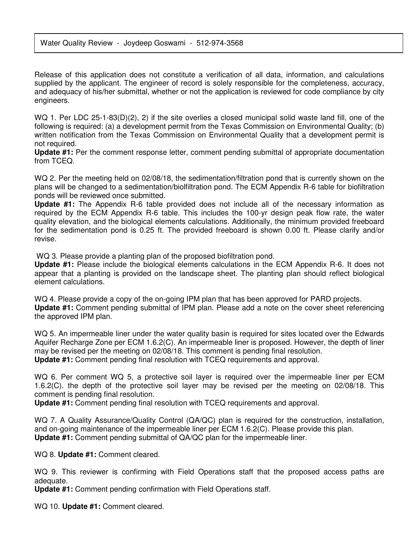Release of this application does not constitute a verification of all data, information, and calculations supplied by the applicant. The engineer of record is solely responsible for the completeness, accuracy, and adequacy of his/her submittal, whether or not the application is reviewed for code compliance by city engineers.

WQ 1. Per LDC 25-1-83(D)(2), 2) if the site overlies a closed municipal solid waste land fill, one of the following is required: (a) a development permit from the Texas Commission on Environmental Quality; (b) written notification from the Texas Commission on Environmental Quality that a development permit is not required.

**Update #1:** Per the comment response letter, comment pending submittal of appropriate documentation from TCEQ.

WQ 2. Per the meeting held on 02/08/18, the sedimentation/filtration pond that is currently shown on the plans will be changed to a sedimentation/biolfiltration pond. The ECM Appendix R-6 table for biofiltration ponds will be reviewed once submitted.

**Update #1:** The Appendix R-6 table provided does not include all of the necessary information as required by the ECM Appendix R-6 table. This includes the 100-yr design peak flow rate, the water quality elevation, and the biological elements calculations. Additionally, the minimum provided freeboard for the sedimentation pond is 0.25 ft. The provided freeboard is shown 0.00 ft. Please clarify and/or revise.

WQ 3. Please provide a planting plan of the proposed biofiltration pond.

**Update #1:** Please include the biological elements calculations in the ECM Appendix R-6. It does not appear that a planting is provided on the landscape sheet. The planting plan should reflect biological element calculations.

WQ 4. Please provide a copy of the on-going IPM plan that has been approved for PARD projects. **Update #1:** Comment pending submittal of IPM plan. Please add a note on the cover sheet referencing the approved IPM plan.

WQ 5. An impermeable liner under the water quality basin is required for sites located over the Edwards Aquifer Recharge Zone per ECM 1.6.2(C). An impermeable liner is proposed. However, the depth of liner may be revised per the meeting on 02/08/18. This comment is pending final resolution. **Update #1:** Comment pending final resolution with TCEQ requirements and approval.

WQ 6. Per comment WQ 5, a protective soil layer is required over the impermeable liner per ECM 1.6.2(C). the depth of the protective soil layer may be revised per the meeting on 02/08/18. This comment is pending final resolution.

**Update #1:** Comment pending final resolution with TCEQ requirements and approval.

WQ 7. A Quality Assurance/Quality Control (QA/QC) plan is required for the construction, installation, and on-going maintenance of the impermeable liner per ECM 1.6.2(C). Please provide this plan. **Update #1:** Comment pending submittal of QA/QC plan for the impermeable liner.

WQ 8. **Update #1:** Comment cleared.

WQ 9. This reviewer is confirming with Field Operations staff that the proposed access paths are adequate.

**Update #1:** Comment pending confirmation with Field Operations staff.

WQ 10. **Update #1:** Comment cleared.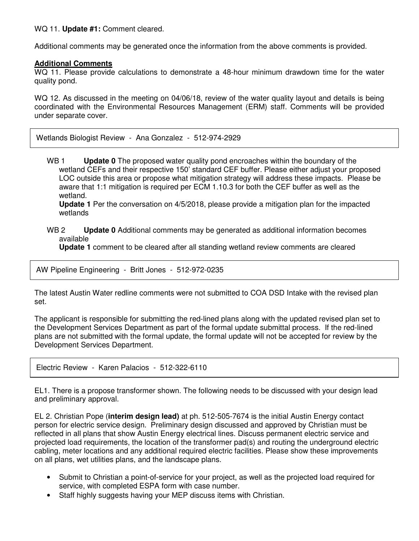WQ 11. **Update #1:** Comment cleared.

Additional comments may be generated once the information from the above comments is provided.

## **Additional Comments**

WQ 11. Please provide calculations to demonstrate a 48-hour minimum drawdown time for the water quality pond.

WQ 12. As discussed in the meeting on 04/06/18, review of the water quality layout and details is being coordinated with the Environmental Resources Management (ERM) staff. Comments will be provided under separate cover.

Wetlands Biologist Review - Ana Gonzalez - 512-974-2929

WB 1 **Update 0** The proposed water quality pond encroaches within the boundary of the wetland CEFs and their respective 150' standard CEF buffer. Please either adjust your proposed LOC outside this area or propose what mitigation strategy will address these impacts. Please be aware that 1:1 mitigation is required per ECM 1.10.3 for both the CEF buffer as well as the wetland.

**Update 1** Per the conversation on 4/5/2018, please provide a mitigation plan for the impacted wetlands

WB 2 **Update 0** Additional comments may be generated as additional information becomes available

**Update 1** comment to be cleared after all standing wetland review comments are cleared

AW Pipeline Engineering - Britt Jones - 512-972-0235

The latest Austin Water redline comments were not submitted to COA DSD Intake with the revised plan set.

The applicant is responsible for submitting the red-lined plans along with the updated revised plan set to the Development Services Department as part of the formal update submittal process. If the red-lined plans are not submitted with the formal update, the formal update will not be accepted for review by the Development Services Department.

Electric Review - Karen Palacios - 512-322-6110

EL1. There is a propose transformer shown. The following needs to be discussed with your design lead and preliminary approval.

EL 2. Christian Pope (**interim design lead)** at ph. 512-505-7674 is the initial Austin Energy contact person for electric service design. Preliminary design discussed and approved by Christian must be reflected in all plans that show Austin Energy electrical lines. Discuss permanent electric service and projected load requirements, the location of the transformer pad(s) and routing the underground electric cabling, meter locations and any additional required electric facilities. Please show these improvements on all plans, wet utilities plans, and the landscape plans.

- Submit to Christian a point-of-service for your project, as well as the projected load required for service, with completed ESPA form with case number.
- Staff highly suggests having your MEP discuss items with Christian.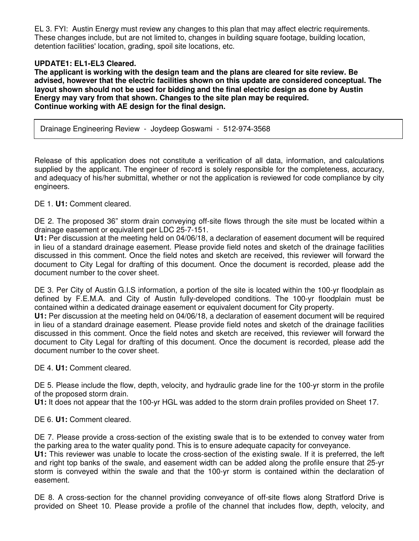EL 3. FYI: Austin Energy must review any changes to this plan that may affect electric requirements. These changes include, but are not limited to, changes in building square footage, building location, detention facilities' location, grading, spoil site locations, etc.

# **UPDATE1: EL1-EL3 Cleared.**

**The applicant is working with the design team and the plans are cleared for site review. Be advised, however that the electric facilities shown on this update are considered conceptual. The layout shown should not be used for bidding and the final electric design as done by Austin Energy may vary from that shown. Changes to the site plan may be required. Continue working with AE design for the final design.** 

Drainage Engineering Review - Joydeep Goswami - 512-974-3568

Release of this application does not constitute a verification of all data, information, and calculations supplied by the applicant. The engineer of record is solely responsible for the completeness, accuracy, and adequacy of his/her submittal, whether or not the application is reviewed for code compliance by city engineers.

## DE 1. **U1:** Comment cleared.

DE 2. The proposed 36" storm drain conveying off-site flows through the site must be located within a drainage easement or equivalent per LDC 25-7-151.

**U1:** Per discussion at the meeting held on 04/06/18, a declaration of easement document will be required in lieu of a standard drainage easement. Please provide field notes and sketch of the drainage facilities discussed in this comment. Once the field notes and sketch are received, this reviewer will forward the document to City Legal for drafting of this document. Once the document is recorded, please add the document number to the cover sheet.

DE 3. Per City of Austin G.I.S information, a portion of the site is located within the 100-yr floodplain as defined by F.E.M.A. and City of Austin fully-developed conditions. The 100-yr floodplain must be contained within a dedicated drainage easement or equivalent document for City property.

**U1:** Per discussion at the meeting held on 04/06/18, a declaration of easement document will be required in lieu of a standard drainage easement. Please provide field notes and sketch of the drainage facilities discussed in this comment. Once the field notes and sketch are received, this reviewer will forward the document to City Legal for drafting of this document. Once the document is recorded, please add the document number to the cover sheet.

DE 4. **U1:** Comment cleared.

DE 5. Please include the flow, depth, velocity, and hydraulic grade line for the 100-yr storm in the profile of the proposed storm drain.

**U1:** It does not appear that the 100-yr HGL was added to the storm drain profiles provided on Sheet 17.

DE 6. **U1:** Comment cleared.

DE 7. Please provide a cross-section of the existing swale that is to be extended to convey water from the parking area to the water quality pond. This is to ensure adequate capacity for conveyance.

**U1:** This reviewer was unable to locate the cross-section of the existing swale. If it is preferred, the left and right top banks of the swale, and easement width can be added along the profile ensure that 25-yr storm is conveyed within the swale and that the 100-yr storm is contained within the declaration of easement.

DE 8. A cross-section for the channel providing conveyance of off-site flows along Stratford Drive is provided on Sheet 10. Please provide a profile of the channel that includes flow, depth, velocity, and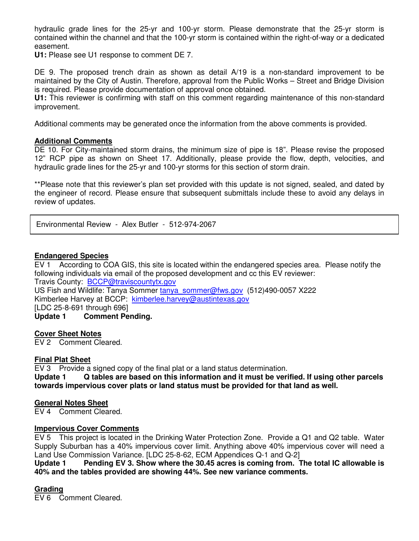hydraulic grade lines for the 25-yr and 100-yr storm. Please demonstrate that the 25-yr storm is contained within the channel and that the 100-yr storm is contained within the right-of-way or a dedicated easement.

**U1:** Please see U1 response to comment DE 7.

DE 9. The proposed trench drain as shown as detail A/19 is a non-standard improvement to be maintained by the City of Austin. Therefore, approval from the Public Works – Street and Bridge Division is required. Please provide documentation of approval once obtained.

**U1:** This reviewer is confirming with staff on this comment regarding maintenance of this non-standard improvement.

Additional comments may be generated once the information from the above comments is provided.

### **Additional Comments**

DE 10. For City-maintained storm drains, the minimum size of pipe is 18". Please revise the proposed 12" RCP pipe as shown on Sheet 17. Additionally, please provide the flow, depth, velocities, and hydraulic grade lines for the 25-yr and 100-yr storms for this section of storm drain.

\*\*Please note that this reviewer's plan set provided with this update is not signed, sealed, and dated by the engineer of record. Please ensure that subsequent submittals include these to avoid any delays in review of updates.

Environmental Review - Alex Butler - 512-974-2067

### **Endangered Species**

EV 1 According to COA GIS, this site is located within the endangered species area. Please notify the following individuals via email of the proposed development and cc this EV reviewer: Travis County: BCCP@traviscountytx.gov

US Fish and Wildlife: Tanya Sommer tanya\_sommer@fws.gov (512)490-0057 X222 Kimberlee Harvey at BCCP: kimberlee.harvey@austintexas.gov

[LDC 25-8-691 through 696]

**Update 1 Comment Pending.** 

## **Cover Sheet Notes**

EV 2 Comment Cleared.

## **Final Plat Sheet**

EV 3 Provide a signed copy of the final plat or a land status determination.

**Update 1 Q tables are based on this information and it must be verified. If using other parcels towards impervious cover plats or land status must be provided for that land as well.** 

#### **General Notes Sheet**

EV 4 Comment Cleared.

#### **Impervious Cover Comments**

EV 5 This project is located in the Drinking Water Protection Zone. Provide a Q1 and Q2 table. Water Supply Suburban has a 40% impervious cover limit. Anything above 40% impervious cover will need a Land Use Commission Variance. [LDC 25-8-62, ECM Appendices Q-1 and Q-2]

**Update 1 Pending EV 3. Show where the 30.45 acres is coming from. The total IC allowable is 40% and the tables provided are showing 44%. See new variance comments.** 

## **Grading**

EV 6 Comment Cleared.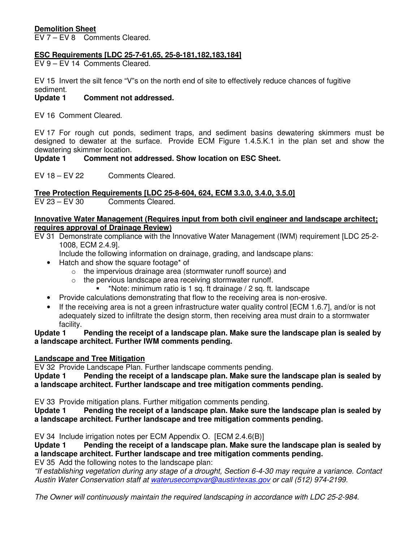# **Demolition Sheet**

EV 7 – EV 8 Comments Cleared.

# **ESC Requirements [LDC 25-7-61,65, 25-8-181,182,183,184]**

EV 9 – EV 14 Comments Cleared.

EV 15 Invert the silt fence "V"s on the north end of site to effectively reduce chances of fugitive sediment.

# **Update 1 Comment not addressed.**

EV 16 Comment Cleared.

EV 17 For rough cut ponds, sediment traps, and sediment basins dewatering skimmers must be designed to dewater at the surface. Provide ECM Figure 1.4.5.K.1 in the plan set and show the dewatering skimmer location.

# Update 1 Comment not addressed. Show location on ESC Sheet.

EV 18 – EV 22 Comments Cleared.

**Tree Protection Requirements [LDC 25-8-604, 624, ECM 3.3.0, 3.4.0, 3.5.0]** 

EV 23 – EV 30 Comments Cleared.

### **Innovative Water Management (Requires input from both civil engineer and landscape architect; requires approval of Drainage Review)**

EV 31 Demonstrate compliance with the Innovative Water Management (IWM) requirement [LDC 25-2- 1008, ECM 2.4.9].

Include the following information on drainage, grading, and landscape plans:

- Hatch and show the square footage\* of
	- o the impervious drainage area (stormwater runoff source) and
	- $\circ$  the pervious landscape area receiving stormwater runoff.
		- \*Note: minimum ratio is 1 sq. ft drainage / 2 sq. ft. landscape
- Provide calculations demonstrating that flow to the receiving area is non-erosive.
- If the receiving area is not a green infrastructure water quality control [ECM 1.6.7], and/or is not adequately sized to infiltrate the design storm, then receiving area must drain to a stormwater facility.

**Update 1 Pending the receipt of a landscape plan. Make sure the landscape plan is sealed by a landscape architect. Further IWM comments pending.** 

## **Landscape and Tree Mitigation**

EV 32 Provide Landscape Plan. Further landscape comments pending.

**Update 1 Pending the receipt of a landscape plan. Make sure the landscape plan is sealed by a landscape architect. Further landscape and tree mitigation comments pending.** 

EV 33 Provide mitigation plans. Further mitigation comments pending.

**Update 1 Pending the receipt of a landscape plan. Make sure the landscape plan is sealed by a landscape architect. Further landscape and tree mitigation comments pending.** 

EV 34 Include irrigation notes per ECM Appendix O. [ECM 2.4.6(B)]

**Update 1 Pending the receipt of a landscape plan. Make sure the landscape plan is sealed by a landscape architect. Further landscape and tree mitigation comments pending.** 

EV 35 Add the following notes to the landscape plan:

"If establishing vegetation during any stage of a drought, Section 6-4-30 may require a variance. Contact Austin Water Conservation staff at waterusecompvar@austintexas.gov or call (512) 974-2199.

The Owner will continuously maintain the required landscaping in accordance with LDC 25-2-984.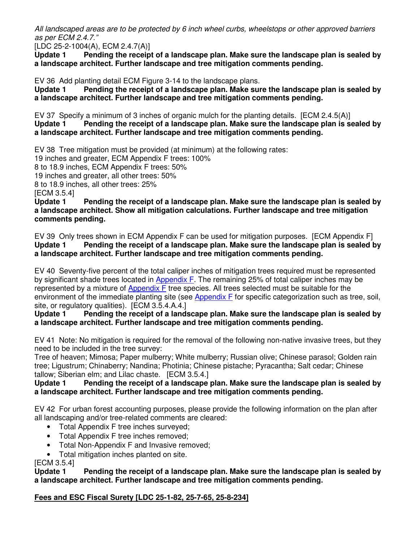All landscaped areas are to be protected by 6 inch wheel curbs, wheelstops or other approved barriers as per ECM 2.4.7."

[LDC 25-2-1004(A), ECM 2.4.7(A)]

**Update 1 Pending the receipt of a landscape plan. Make sure the landscape plan is sealed by a landscape architect. Further landscape and tree mitigation comments pending.** 

EV 36 Add planting detail ECM Figure 3-14 to the landscape plans.

**Update 1 Pending the receipt of a landscape plan. Make sure the landscape plan is sealed by a landscape architect. Further landscape and tree mitigation comments pending.** 

EV 37 Specify a minimum of 3 inches of organic mulch for the planting details. [ECM 2.4.5(A)] **Update 1 Pending the receipt of a landscape plan. Make sure the landscape plan is sealed by a landscape architect. Further landscape and tree mitigation comments pending.** 

EV 38 Tree mitigation must be provided (at minimum) at the following rates:

19 inches and greater, ECM Appendix F trees: 100%

8 to 18.9 inches, ECM Appendix F trees: 50%

19 inches and greater, all other trees: 50%

8 to 18.9 inches, all other trees: 25%

[ECM 3.5.4]

**Update 1 Pending the receipt of a landscape plan. Make sure the landscape plan is sealed by a landscape architect. Show all mitigation calculations. Further landscape and tree mitigation comments pending.** 

EV 39 Only trees shown in ECM Appendix F can be used for mitigation purposes. [ECM Appendix F] **Update 1 Pending the receipt of a landscape plan. Make sure the landscape plan is sealed by a landscape architect. Further landscape and tree mitigation comments pending.** 

EV 40 Seventy-five percent of the total caliper inches of mitigation trees required must be represented by significant shade trees located in Appendix F. The remaining 25% of total caliper inches may be represented by a mixture of Appendix F tree species. All trees selected must be suitable for the environment of the immediate planting site (see Appendix F for specific categorization such as tree, soil, site, or regulatory qualities). [ECM 3.5.4.A.4.]

**Update 1 Pending the receipt of a landscape plan. Make sure the landscape plan is sealed by a landscape architect. Further landscape and tree mitigation comments pending.** 

EV 41 Note: No mitigation is required for the removal of the following non-native invasive trees, but they need to be included in the tree survey:

Tree of heaven; Mimosa; Paper mulberry; White mulberry; Russian olive; Chinese parasol; Golden rain tree; Ligustrum; Chinaberry; Nandina; Photinia; Chinese pistache; Pyracantha; Salt cedar; Chinese tallow; Siberian elm; and Lilac chaste. [ECM 3.5.4.]

# **Update 1 Pending the receipt of a landscape plan. Make sure the landscape plan is sealed by a landscape architect. Further landscape and tree mitigation comments pending.**

EV 42 For urban forest accounting purposes, please provide the following information on the plan after all landscaping and/or tree-related comments are cleared:

- Total Appendix F tree inches surveyed;
- Total Appendix F tree inches removed;
- Total Non-Appendix F and Invasive removed;
- Total mitigation inches planted on site.

[ECM 3.5.4]

**Update 1 Pending the receipt of a landscape plan. Make sure the landscape plan is sealed by a landscape architect. Further landscape and tree mitigation comments pending.** 

# **Fees and ESC Fiscal Surety [LDC 25-1-82, 25-7-65, 25-8-234]**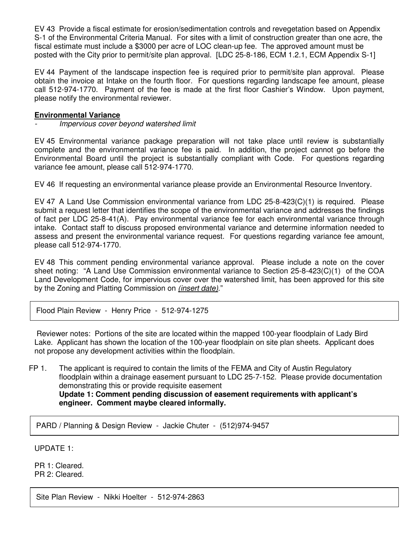EV 43 Provide a fiscal estimate for erosion/sedimentation controls and revegetation based on Appendix S-1 of the Environmental Criteria Manual. For sites with a limit of construction greater than one acre, the fiscal estimate must include a \$3000 per acre of LOC clean-up fee. The approved amount must be posted with the City prior to permit/site plan approval. [LDC 25-8-186, ECM 1.2.1, ECM Appendix S-1]

EV 44 Payment of the landscape inspection fee is required prior to permit/site plan approval. Please obtain the invoice at Intake on the fourth floor. For questions regarding landscape fee amount, please call 512-974-1770. Payment of the fee is made at the first floor Cashier's Window. Upon payment, please notify the environmental reviewer.

## **Environmental Variance**

- Impervious cover beyond watershed limit

EV 45 Environmental variance package preparation will not take place until review is substantially complete and the environmental variance fee is paid. In addition, the project cannot go before the Environmental Board until the project is substantially compliant with Code. For questions regarding variance fee amount, please call 512-974-1770.

EV 46 If requesting an environmental variance please provide an Environmental Resource Inventory.

EV 47 A Land Use Commission environmental variance from LDC 25-8-423(C)(1) is required. Please submit a request letter that identifies the scope of the environmental variance and addresses the findings of fact per LDC 25-8-41(A). Pay environmental variance fee for each environmental variance through intake. Contact staff to discuss proposed environmental variance and determine information needed to assess and present the environmental variance request. For questions regarding variance fee amount, please call 512-974-1770.

EV 48 This comment pending environmental variance approval. Please include a note on the cover sheet noting: "A Land Use Commission environmental variance to Section 25-8-423(C)(1) of the COA Land Development Code, for impervious cover over the watershed limit, has been approved for this site by the Zoning and Platting Commission on *(insert date)*."

Flood Plain Review - Henry Price - 512-974-1275

 Reviewer notes: Portions of the site are located within the mapped 100-year floodplain of Lady Bird Lake. Applicant has shown the location of the 100-year floodplain on site plan sheets. Applicant does not propose any development activities within the floodplain.

FP 1. The applicant is required to contain the limits of the FEMA and City of Austin Regulatory floodplain within a drainage easement pursuant to LDC 25-7-152. Please provide documentation demonstrating this or provide requisite easement **Update 1: Comment pending discussion of easement requirements with applicant's engineer. Comment maybe cleared informally.** 

PARD / Planning & Design Review - Jackie Chuter - (512)974-9457

UPDATE 1:

PR 1: Cleared. PR 2: Cleared.

Site Plan Review - Nikki Hoelter - 512-974-2863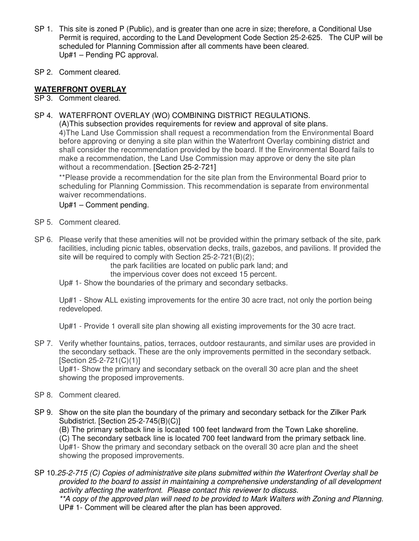- SP 1. This site is zoned P (Public), and is greater than one acre in size; therefore, a Conditional Use Permit is required, according to the Land Development Code Section 25-2-625. The CUP will be scheduled for Planning Commission after all comments have been cleared. Up#1 – Pending PC approval.
- SP 2. Comment cleared.

# **WATERFRONT OVERLAY**

- SP 3. Comment cleared.
- SP 4. WATERFRONT OVERLAY (WO) COMBINING DISTRICT REGULATIONS.

 (A)This subsection provides requirements for review and approval of site plans. 4)The Land Use Commission shall request a recommendation from the Environmental Board before approving or denying a site plan within the Waterfront Overlay combining district and shall consider the recommendation provided by the board. If the Environmental Board fails to make a recommendation, the Land Use Commission may approve or deny the site plan without a recommendation. [Section 25-2-721]

\*\*Please provide a recommendation for the site plan from the Environmental Board prior to scheduling for Planning Commission. This recommendation is separate from environmental waiver recommendations.

Up#1 – Comment pending.

- SP 5. Comment cleared.
- SP 6. Please verify that these amenities will not be provided within the primary setback of the site, park facilities, including picnic tables, observation decks, trails, gazebos, and pavilions. If provided the site will be required to comply with Section 25-2-721(B)(2);

the park facilities are located on public park land; and

the impervious cover does not exceed 15 percent.

Up# 1- Show the boundaries of the primary and secondary setbacks.

Up#1 - Show ALL existing improvements for the entire 30 acre tract, not only the portion being redeveloped.

Up#1 - Provide 1 overall site plan showing all existing improvements for the 30 acre tract.

SP 7. Verify whether fountains, patios, terraces, outdoor restaurants, and similar uses are provided in the secondary setback. These are the only improvements permitted in the secondary setback. [Section 25-2-721(C)(1)]

 Up#1- Show the primary and secondary setback on the overall 30 acre plan and the sheet showing the proposed improvements.

- SP 8. Comment cleared.
- SP 9. Show on the site plan the boundary of the primary and secondary setback for the Zilker Park Subdistrict. [Section 25-2-745(B)(C)]

(B) The primary setback line is located 100 feet landward from the Town Lake shoreline. (C) The secondary setback line is located 700 feet landward from the primary setback line. Up#1- Show the primary and secondary setback on the overall 30 acre plan and the sheet showing the proposed improvements.

SP 10.25-2-715 (C) Copies of administrative site plans submitted within the Waterfront Overlay shall be provided to the board to assist in maintaining a comprehensive understanding of all development activity affecting the waterfront. Please contact this reviewer to discuss. \*\*A copy of the approved plan will need to be provided to Mark Walters with Zoning and Planning. UP# 1- Comment will be cleared after the plan has been approved.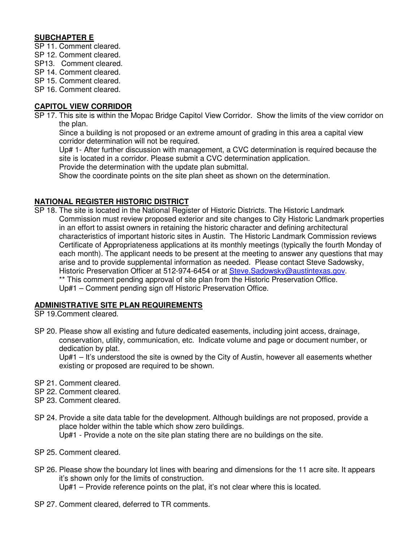# **SUBCHAPTER E**

- SP 11. Comment cleared.
- SP 12. Comment cleared.
- SP13. Comment cleared.
- SP 14. Comment cleared.
- SP 15. Comment cleared.
- SP 16. Comment cleared.

# **CAPITOL VIEW CORRIDOR**

SP 17. This site is within the Mopac Bridge Capitol View Corridor. Show the limits of the view corridor on the plan.

Since a building is not proposed or an extreme amount of grading in this area a capital view corridor determination will not be required.

Up# 1- After further discussion with management, a CVC determination is required because the site is located in a corridor. Please submit a CVC determination application.

Provide the determination with the update plan submittal.

Show the coordinate points on the site plan sheet as shown on the determination.

# **NATIONAL REGISTER HISTORIC DISTRICT**

SP 18. The site is located in the National Register of Historic Districts. The Historic Landmark Commission must review proposed exterior and site changes to City Historic Landmark properties in an effort to assist owners in retaining the historic character and defining architectural characteristics of important historic sites in Austin. The Historic Landmark Commission reviews Certificate of Appropriateness applications at its monthly meetings (typically the fourth Monday of each month). The applicant needs to be present at the meeting to answer any questions that may arise and to provide supplemental information as needed. Please contact Steve Sadowsky, Historic Preservation Officer at 512-974-6454 or at Steve.Sadowsky@austintexas.gov. \*\* This comment pending approval of site plan from the Historic Preservation Office. Up#1 – Comment pending sign off Historic Preservation Office.

## **ADMINISTRATIVE SITE PLAN REQUIREMENTS**

SP 19.Comment cleared.

SP 20. Please show all existing and future dedicated easements, including joint access, drainage, conservation, utility, communication, etc. Indicate volume and page or document number, or dedication by plat.

 Up#1 – It's understood the site is owned by the City of Austin, however all easements whether existing or proposed are required to be shown.

- SP 21. Comment cleared.
- SP 22. Comment cleared.
- SP 23. Comment cleared.
- SP 24. Provide a site data table for the development. Although buildings are not proposed, provide a place holder within the table which show zero buildings. Up#1 - Provide a note on the site plan stating there are no buildings on the site.
- SP 25. Comment cleared.
- SP 26. Please show the boundary lot lines with bearing and dimensions for the 11 acre site. It appears it's shown only for the limits of construction.

Up#1 – Provide reference points on the plat, it's not clear where this is located.

SP 27. Comment cleared, deferred to TR comments.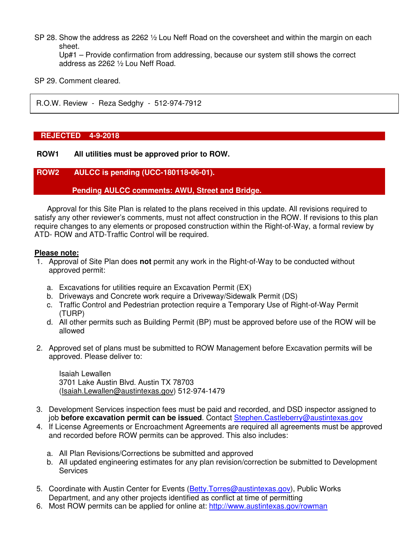SP 28. Show the address as 2262  $\frac{1}{2}$  Lou Neff Road on the coversheet and within the margin on each sheet.

 Up#1 – Provide confirmation from addressing, because our system still shows the correct address as 2262 ½ Lou Neff Road.

SP 29. Comment cleared.

R.O.W. Review - Reza Sedghy - 512-974-7912

### **REJECTED 4-9-2018**

### **ROW1 All utilities must be approved prior to ROW.**

### **ROW2 AULCC is pending (UCC-180118-06-01).**

### **Pending AULCC comments: AWU, Street and Bridge.**

Approval for this Site Plan is related to the plans received in this update. All revisions required to satisfy any other reviewer's comments, must not affect construction in the ROW. If revisions to this plan require changes to any elements or proposed construction within the Right-of-Way, a formal review by ATD- ROW and ATD-Traffic Control will be required.

### **Please note:**

- 1. Approval of Site Plan does **not** permit any work in the Right-of-Way to be conducted without approved permit:
	- a. Excavations for utilities require an Excavation Permit (EX)
	- b. Driveways and Concrete work require a Driveway/Sidewalk Permit (DS)
	- c. Traffic Control and Pedestrian protection require a Temporary Use of Right-of-Way Permit (TURP)
	- d. All other permits such as Building Permit (BP) must be approved before use of the ROW will be allowed
- 2. Approved set of plans must be submitted to ROW Management before Excavation permits will be approved. Please deliver to:

 Isaiah Lewallen 3701 Lake Austin Blvd. Austin TX 78703 (Isaiah.Lewallen@austintexas.gov) 512-974-1479

- 3. Development Services inspection fees must be paid and recorded, and DSD inspector assigned to job **before excavation permit can be issued**. Contact Stephen.Castleberry@austintexas.gov
- 4. If License Agreements or Encroachment Agreements are required all agreements must be approved and recorded before ROW permits can be approved. This also includes:
	- a. All Plan Revisions/Corrections be submitted and approved
	- b. All updated engineering estimates for any plan revision/correction be submitted to Development **Services**
- 5. Coordinate with Austin Center for Events (Betty.Torres@austintexas.gov), Public Works Department, and any other projects identified as conflict at time of permitting
- 6. Most ROW permits can be applied for online at: http://www.austintexas.gov/rowman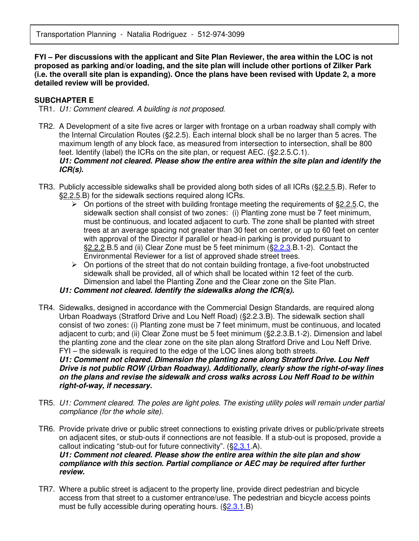**FYI – Per discussions with the applicant and Site Plan Reviewer, the area within the LOC is not proposed as parking and/or loading, and the site plan will include other portions of Zilker Park (i.e. the overall site plan is expanding). Once the plans have been revised with Update 2, a more detailed review will be provided.** 

### **SUBCHAPTER E**

TR1. U1: Comment cleared. A building is not proposed.

- TR2. A Development of a site five acres or larger with frontage on a urban roadway shall comply with the Internal Circulation Routes (§2.2.5). Each internal block shall be no larger than 5 acres. The maximum length of any block face, as measured from intersection to intersection, shall be 800 feet. Identify (label) the ICRs on the site plan, or request AEC. (§2.2.5.C.1). **U1: Comment not cleared. Please show the entire area within the site plan and identify the ICR(s).**
- TR3. Publicly accessible sidewalks shall be provided along both sides of all ICRs (§2.2.5.B). Refer to §2.2.5.B) for the sidewalk sections required along ICRs.
	- $\triangleright$  On portions of the street with building frontage meeting the requirements of §2.2.5.C, the sidewalk section shall consist of two zones: (i) Planting zone must be 7 feet minimum, must be continuous, and located adjacent to curb. The zone shall be planted with street trees at an average spacing not greater than 30 feet on center, or up to 60 feet on center with approval of the Director if parallel or head-in parking is provided pursuant to §2.2.2.B.5 and (ii) Clear Zone must be 5 feet minimum (§2.2.3.B.1-2). Contact the Environmental Reviewer for a list of approved shade street trees.
	- > On portions of the street that do not contain building frontage, a five-foot unobstructed sidewalk shall be provided, all of which shall be located within 12 feet of the curb. Dimension and label the Planting Zone and the Clear zone on the Site Plan.

## **U1: Comment not cleared. Identify the sidewalks along the ICR(s).**

TR4. Sidewalks, designed in accordance with the Commercial Design Standards, are required along Urban Roadways (Stratford Drive and Lou Neff Road) (§2.2.3.B). The sidewalk section shall consist of two zones: (i) Planting zone must be 7 feet minimum, must be continuous, and located adjacent to curb; and (ii) Clear Zone must be 5 feet minimum (§2.2.3.B.1-2). Dimension and label the planting zone and the clear zone on the site plan along Stratford Drive and Lou Neff Drive. FYI – the sidewalk is required to the edge of the LOC lines along both streets. **U1: Comment not cleared. Dimension the planting zone along Stratford Drive. Lou Neff** 

**Drive is not public ROW (Urban Roadway). Additionally, clearly show the right-of-way lines on the plans and revise the sidewalk and cross walks across Lou Neff Road to be within right-of-way, if necessary.** 

- TR5. U1: Comment cleared. The poles are light poles. The existing utility poles will remain under partial compliance (for the whole site).
- TR6. Provide private drive or public street connections to existing private drives or public/private streets on adjacent sites, or stub-outs if connections are not feasible. If a stub-out is proposed, provide a callout indicating "stub-out for future connectivity". (§2.3.1.A). **U1: Comment not cleared. Please show the entire area within the site plan and show compliance with this section. Partial compliance or AEC may be required after further review.**
- TR7. Where a public street is adjacent to the property line, provide direct pedestrian and bicycle access from that street to a customer entrance/use. The pedestrian and bicycle access points must be fully accessible during operating hours. (§2.3.1.B)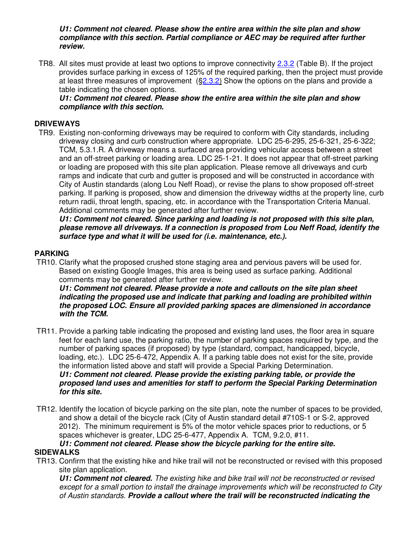**U1: Comment not cleared. Please show the entire area within the site plan and show compliance with this section. Partial compliance or AEC may be required after further review.** 

TR8. All sites must provide at least two options to improve connectivity 2.3.2 (Table B). If the project provides surface parking in excess of 125% of the required parking, then the project must provide at least three measures of improvement (§2.3.2) Show the options on the plans and provide a table indicating the chosen options.

# **U1: Comment not cleared. Please show the entire area within the site plan and show compliance with this section.**

## **DRIVEWAYS**

TR9. Existing non-conforming driveways may be required to conform with City standards, including driveway closing and curb construction where appropriate. LDC 25-6-295, 25-6-321, 25-6-322; TCM, 5.3.1.R. A driveway means a surfaced area providing vehicular access between a street and an off-street parking or loading area. LDC 25-1-21. It does not appear that off-street parking or loading are proposed with this site plan application. Please remove all driveways and curb ramps and indicate that curb and gutter is proposed and will be constructed in accordance with City of Austin standards (along Lou Neff Road), or revise the plans to show proposed off-street parking. If parking is proposed, show and dimension the driveway widths at the property line, curb return radii, throat length, spacing, etc. in accordance with the Transportation Criteria Manual. Additional comments may be generated after further review.

**U1: Comment not cleared. Since parking and loading is not proposed with this site plan, please remove all driveways. If a connection is proposed from Lou Neff Road, identify the surface type and what it will be used for (i.e. maintenance, etc.).** 

# **PARKING**

TR10. Clarify what the proposed crushed stone staging area and pervious pavers will be used for. Based on existing Google Images, this area is being used as surface parking. Additional comments may be generated after further review.

**U1: Comment not cleared. Please provide a note and callouts on the site plan sheet indicating the proposed use and indicate that parking and loading are prohibited within the proposed LOC. Ensure all provided parking spaces are dimensioned in accordance with the TCM.** 

- TR11. Provide a parking table indicating the proposed and existing land uses, the floor area in square feet for each land use, the parking ratio, the number of parking spaces required by type, and the number of parking spaces (if proposed) by type (standard, compact, handicapped, bicycle, loading, etc.). LDC 25-6-472, Appendix A. If a parking table does not exist for the site, provide the information listed above and staff will provide a Special Parking Determination. **U1: Comment not cleared. Please provide the existing parking table, or provide the proposed land uses and amenities for staff to perform the Special Parking Determination for this site.**
- TR12. Identify the location of bicycle parking on the site plan, note the number of spaces to be provided, and show a detail of the bicycle rack (City of Austin standard detail #710S-1 or S-2, approved 2012). The minimum requirement is 5% of the motor vehicle spaces prior to reductions, or 5 spaces whichever is greater, LDC 25-6-477, Appendix A. TCM, 9.2.0, #11.

## **U1: Comment not cleared. Please show the bicycle parking for the entire site. SIDEWALKS**

TR13. Confirm that the existing hike and hike trail will not be reconstructed or revised with this proposed site plan application.

**U1: Comment not cleared.** The existing hike and bike trail will not be reconstructed or revised except for a small portion to install the drainage improvements which will be reconstructed to City of Austin standards. **Provide a callout where the trail will be reconstructed indicating the**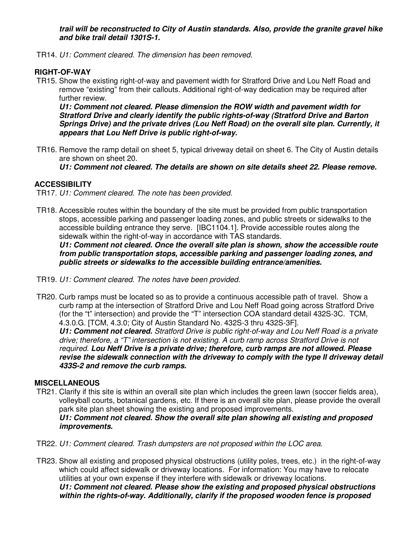**trail will be reconstructed to City of Austin standards. Also, provide the granite gravel hike and bike trail detail 1301S-1.**

TR14. U1: Comment cleared. The dimension has been removed.

# **RIGHT-OF-WAY**

TR15. Show the existing right-of-way and pavement width for Stratford Drive and Lou Neff Road and remove "existing" from their callouts. Additional right-of-way dedication may be required after further review.

**U1: Comment not cleared. Please dimension the ROW width and pavement width for Stratford Drive and clearly identify the public rights-of-way (Stratford Drive and Barton Springs Drive) and the private drives (Lou Neff Road) on the overall site plan. Currently, it appears that Lou Neff Drive is public right-of-way.** 

TR16. Remove the ramp detail on sheet 5, typical driveway detail on sheet 6. The City of Austin details are shown on sheet 20.

**U1: Comment not cleared. The details are shown on site details sheet 22. Please remove.** 

# **ACCESSIBILITY**

TR17. U1: Comment cleared. The note has been provided.

TR18. Accessible routes within the boundary of the site must be provided from public transportation stops, accessible parking and passenger loading zones, and public streets or sidewalks to the accessible building entrance they serve. [IBC1104.1]. Provide accessible routes along the sidewalk within the right-of-way in accordance with TAS standards.

**U1: Comment not cleared. Once the overall site plan is shown, show the accessible route from public transportation stops, accessible parking and passenger loading zones, and public streets or sidewalks to the accessible building entrance/amenities.** 

- TR19. U1: Comment cleared. The notes have been provided.
- TR20. Curb ramps must be located so as to provide a continuous accessible path of travel. Show a curb ramp at the intersection of Stratford Drive and Lou Neff Road going across Stratford Drive (for the "t" intersection) and provide the "T" intersection COA standard detail 432S-3C. TCM, 4.3.0.G. [TCM, 4.3.0; City of Austin Standard No. 432S-3 thru 432S-3F].

**U1: Comment not cleared.** Stratford Drive is public right-of-way and Lou Neff Road is a private drive; therefore, a "T" intersection is not existing. A curb ramp across Stratford Drive is not required. **Lou Neff Drive is a private drive; therefore, curb ramps are not allowed. Please revise the sidewalk connection with the driveway to comply with the type II driveway detail 433S-2 and remove the curb ramps.** 

## **MISCELLANEOUS**

- TR21. Clarify if this site is within an overall site plan which includes the green lawn (soccer fields area), volleyball courts, botanical gardens, etc. If there is an overall site plan, please provide the overall park site plan sheet showing the existing and proposed improvements. **U1: Comment not cleared. Show the overall site plan showing all existing and proposed improvements.**
- TR22. U1: Comment cleared. Trash dumpsters are not proposed within the LOC area.
- TR23. Show all existing and proposed physical obstructions (utility poles, trees, etc.) in the right-of-way which could affect sidewalk or driveway locations. For information: You may have to relocate utilities at your own expense if they interfere with sidewalk or driveway locations. **U1: Comment not cleared. Please show the existing and proposed physical obstructions within the rights-of-way. Additionally, clarify if the proposed wooden fence is proposed**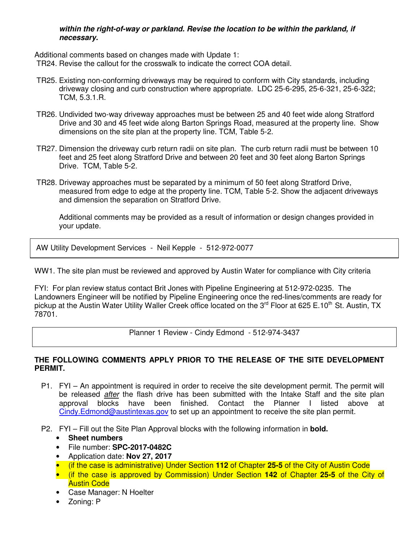## **within the right-of-way or parkland. Revise the location to be within the parkland, if necessary.**

Additional comments based on changes made with Update 1:

TR24. Revise the callout for the crosswalk to indicate the correct COA detail.

- TR25. Existing non-conforming driveways may be required to conform with City standards, including driveway closing and curb construction where appropriate. LDC 25-6-295, 25-6-321, 25-6-322; TCM, 5.3.1.R.
- TR26. Undivided two-way driveway approaches must be between 25 and 40 feet wide along Stratford Drive and 30 and 45 feet wide along Barton Springs Road, measured at the property line. Show dimensions on the site plan at the property line. TCM, Table 5-2.
- TR27. Dimension the driveway curb return radii on site plan. The curb return radii must be between 10 feet and 25 feet along Stratford Drive and between 20 feet and 30 feet along Barton Springs Drive. TCM, Table 5-2.
- TR28. Driveway approaches must be separated by a minimum of 50 feet along Stratford Drive, measured from edge to edge at the property line. TCM, Table 5-2. Show the adjacent driveways and dimension the separation on Stratford Drive.

Additional comments may be provided as a result of information or design changes provided in your update.

AW Utility Development Services - Neil Kepple - 512-972-0077

WW1. The site plan must be reviewed and approved by Austin Water for compliance with City criteria

FYI: For plan review status contact Brit Jones with Pipeline Engineering at 512-972-0235. The Landowners Engineer will be notified by Pipeline Engineering once the red-lines/comments are ready for pickup at the Austin Water Utility Waller Creek office located on the 3<sup>rd</sup> Floor at 625 E.10<sup>th</sup> St. Austin, TX 78701.

Planner 1 Review - Cindy Edmond - 512-974-3437

## **THE FOLLOWING COMMENTS APPLY PRIOR TO THE RELEASE OF THE SITE DEVELOPMENT PERMIT.**

- P1. FYI An appointment is required in order to receive the site development permit. The permit will be released *after* the flash drive has been submitted with the Intake Staff and the site plan approval blocks have been finished. Contact the Planner I listed above at Cindy.Edmond@austintexas.gov to set up an appointment to receive the site plan permit.
- P2. FYI Fill out the Site Plan Approval blocks with the following information in **bold.**
	- **Sheet numbers**
	- File number: **SPC-2017-0482C**
	- Application date: **Nov 27, 2017**
	- (if the case is administrative) Under Section **112** of Chapter **25-5** of the City of Austin Code
	- (if the case is approved by Commission) Under Section **142** of Chapter **25-5** of the City of Austin Code
	- Case Manager: N Hoelter
	- Zoning: P